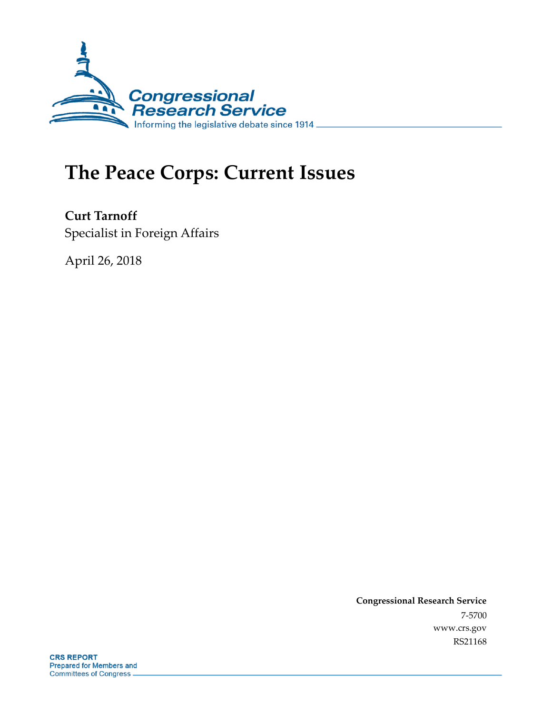

# **The Peace Corps: Current Issues**

**Curt Tarnoff** Specialist in Foreign Affairs

April 26, 2018

**Congressional Research Service** 7-5700 www.crs.gov RS21168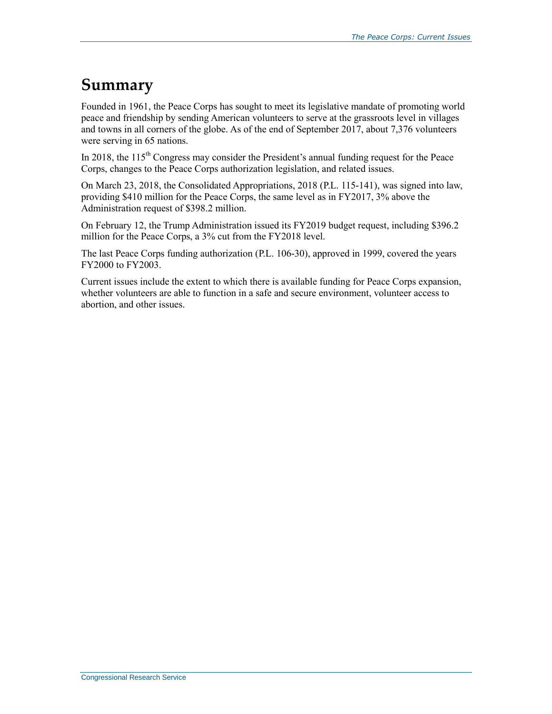## **Summary**

Founded in 1961, the Peace Corps has sought to meet its legislative mandate of promoting world peace and friendship by sending American volunteers to serve at the grassroots level in villages and towns in all corners of the globe. As of the end of September 2017, about 7,376 volunteers were serving in 65 nations.

In 2018, the  $115<sup>th</sup>$  Congress may consider the President's annual funding request for the Peace Corps, changes to the Peace Corps authorization legislation, and related issues.

On March 23, 2018, the Consolidated Appropriations, 2018 (P.L. 115-141), was signed into law, providing \$410 million for the Peace Corps, the same level as in FY2017, 3% above the Administration request of \$398.2 million.

On February 12, the Trump Administration issued its FY2019 budget request, including \$396.2 million for the Peace Corps, a 3% cut from the FY2018 level.

The last Peace Corps funding authorization (P.L. 106-30), approved in 1999, covered the years FY2000 to FY2003.

Current issues include the extent to which there is available funding for Peace Corps expansion, whether volunteers are able to function in a safe and secure environment, volunteer access to abortion, and other issues.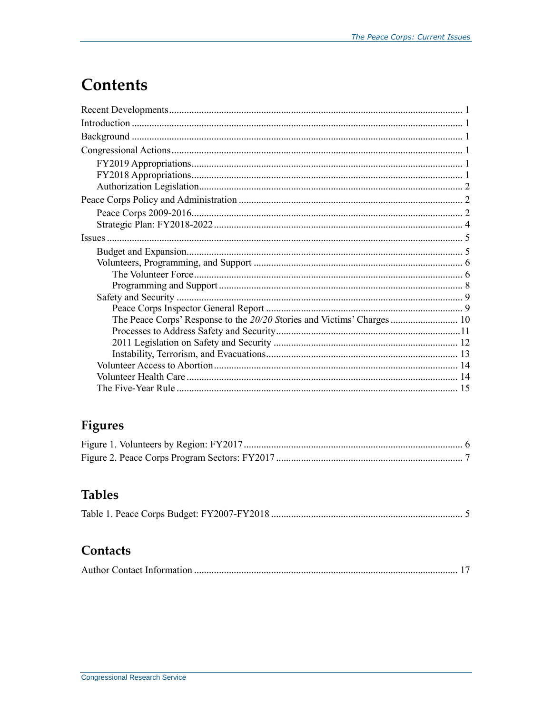## **Contents**

| The Peace Corps' Response to the 20/20 Stories and Victims' Charges  10 |  |
|-------------------------------------------------------------------------|--|
|                                                                         |  |
|                                                                         |  |
|                                                                         |  |
|                                                                         |  |
|                                                                         |  |
|                                                                         |  |

## **Figures**

## **Tables**

|--|--|

### Contacts

|--|--|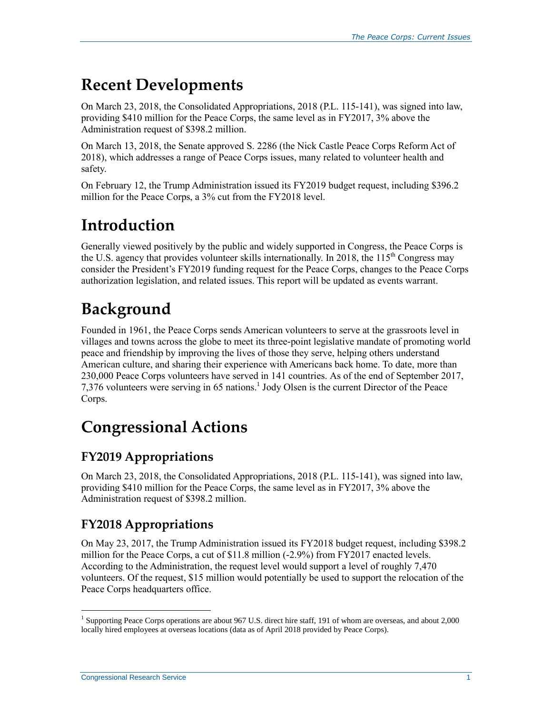## **Recent Developments**

On March 23, 2018, the Consolidated Appropriations, 2018 (P.L. 115-141), was signed into law, providing \$410 million for the Peace Corps, the same level as in FY2017, 3% above the Administration request of \$398.2 million.

On March 13, 2018, the Senate approved S. 2286 (the Nick Castle Peace Corps Reform Act of 2018), which addresses a range of Peace Corps issues, many related to volunteer health and safety.

On February 12, the Trump Administration issued its FY2019 budget request, including \$396.2 million for the Peace Corps, a 3% cut from the FY2018 level.

## **Introduction**

Generally viewed positively by the public and widely supported in Congress, the Peace Corps is the U.S. agency that provides volunteer skills internationally. In 2018, the 115<sup>th</sup> Congress may consider the President's FY2019 funding request for the Peace Corps, changes to the Peace Corps authorization legislation, and related issues. This report will be updated as events warrant.

## **Background**

Founded in 1961, the Peace Corps sends American volunteers to serve at the grassroots level in villages and towns across the globe to meet its three-point legislative mandate of promoting world peace and friendship by improving the lives of those they serve, helping others understand American culture, and sharing their experience with Americans back home. To date, more than 230,000 Peace Corps volunteers have served in 141 countries. As of the end of September 2017, 7,376 volunteers were serving in 65 nations.<sup>1</sup> Jody Olsen is the current Director of the Peace Corps.

## **Congressional Actions**

### **FY2019 Appropriations**

On March 23, 2018, the Consolidated Appropriations, 2018 (P.L. 115-141), was signed into law, providing \$410 million for the Peace Corps, the same level as in FY2017, 3% above the Administration request of \$398.2 million.

### **FY2018 Appropriations**

On May 23, 2017, the Trump Administration issued its FY2018 budget request, including \$398.2 million for the Peace Corps, a cut of \$11.8 million (-2.9%) from FY2017 enacted levels. According to the Administration, the request level would support a level of roughly 7,470 volunteers. Of the request, \$15 million would potentially be used to support the relocation of the Peace Corps headquarters office.

<sup>&</sup>lt;sup>1</sup> Supporting Peace Corps operations are about 967 U.S. direct hire staff, 191 of whom are overseas, and about 2,000 locally hired employees at overseas locations (data as of April 2018 provided by Peace Corps).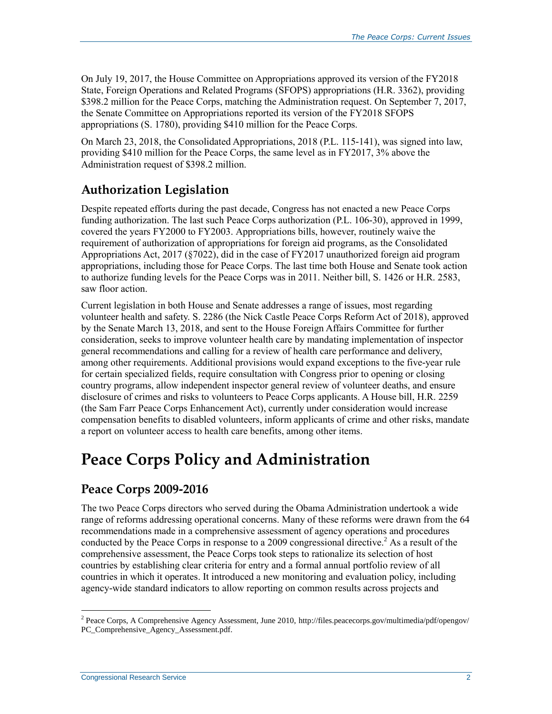On July 19, 2017, the House Committee on Appropriations approved its version of the FY2018 State, Foreign Operations and Related Programs (SFOPS) appropriations (H.R. 3362), providing \$398.2 million for the Peace Corps, matching the Administration request. On September 7, 2017, the Senate Committee on Appropriations reported its version of the FY2018 SFOPS appropriations (S. 1780), providing \$410 million for the Peace Corps.

On March 23, 2018, the Consolidated Appropriations, 2018 (P.L. 115-141), was signed into law, providing \$410 million for the Peace Corps, the same level as in FY2017, 3% above the Administration request of \$398.2 million.

### **Authorization Legislation**

Despite repeated efforts during the past decade, Congress has not enacted a new Peace Corps funding authorization. The last such Peace Corps authorization (P.L. 106-30), approved in 1999, covered the years FY2000 to FY2003. Appropriations bills, however, routinely waive the requirement of authorization of appropriations for foreign aid programs, as the Consolidated Appropriations Act, 2017 (§7022), did in the case of FY2017 unauthorized foreign aid program appropriations, including those for Peace Corps. The last time both House and Senate took action to authorize funding levels for the Peace Corps was in 2011. Neither bill, S. 1426 or H.R. 2583, saw floor action.

Current legislation in both House and Senate addresses a range of issues, most regarding volunteer health and safety. S. 2286 (the Nick Castle Peace Corps Reform Act of 2018), approved by the Senate March 13, 2018, and sent to the House Foreign Affairs Committee for further consideration, seeks to improve volunteer health care by mandating implementation of inspector general recommendations and calling for a review of health care performance and delivery, among other requirements. Additional provisions would expand exceptions to the five-year rule for certain specialized fields, require consultation with Congress prior to opening or closing country programs, allow independent inspector general review of volunteer deaths, and ensure disclosure of crimes and risks to volunteers to Peace Corps applicants. A House bill, H.R. 2259 (the Sam Farr Peace Corps Enhancement Act), currently under consideration would increase compensation benefits to disabled volunteers, inform applicants of crime and other risks, mandate a report on volunteer access to health care benefits, among other items.

## **Peace Corps Policy and Administration**

### **Peace Corps 2009-2016**

The two Peace Corps directors who served during the Obama Administration undertook a wide range of reforms addressing operational concerns. Many of these reforms were drawn from the 64 recommendations made in a comprehensive assessment of agency operations and procedures conducted by the Peace Corps in response to a 2009 congressional directive.<sup>2</sup> As a result of the comprehensive assessment, the Peace Corps took steps to rationalize its selection of host countries by establishing clear criteria for entry and a formal annual portfolio review of all countries in which it operates. It introduced a new monitoring and evaluation policy, including agency-wide standard indicators to allow reporting on common results across projects and

 2 Peace Corps, A Comprehensive Agency Assessment, June 2010, http://files.peacecorps.gov/multimedia/pdf/opengov/ PC\_Comprehensive\_Agency\_Assessment.pdf.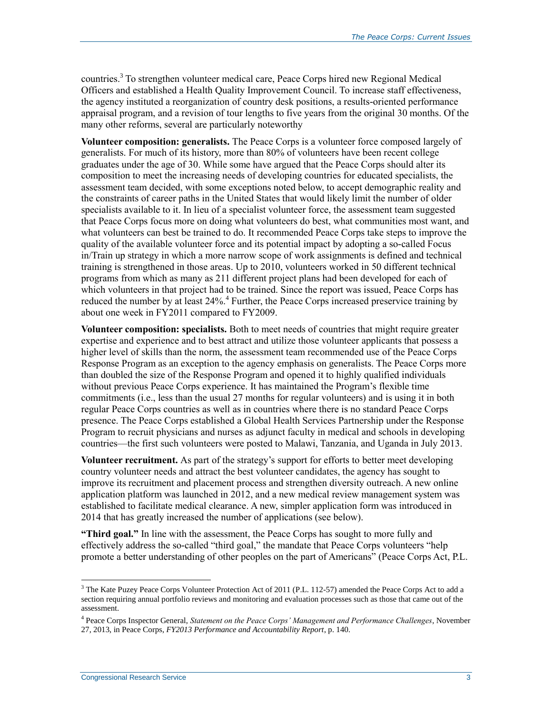countries.<sup>3</sup> To strengthen volunteer medical care, Peace Corps hired new Regional Medical Officers and established a Health Quality Improvement Council. To increase staff effectiveness, the agency instituted a reorganization of country desk positions, a results-oriented performance appraisal program, and a revision of tour lengths to five years from the original 30 months. Of the many other reforms, several are particularly noteworthy

**Volunteer composition: generalists.** The Peace Corps is a volunteer force composed largely of generalists. For much of its history, more than 80% of volunteers have been recent college graduates under the age of 30. While some have argued that the Peace Corps should alter its composition to meet the increasing needs of developing countries for educated specialists, the assessment team decided, with some exceptions noted below, to accept demographic reality and the constraints of career paths in the United States that would likely limit the number of older specialists available to it. In lieu of a specialist volunteer force, the assessment team suggested that Peace Corps focus more on doing what volunteers do best, what communities most want, and what volunteers can best be trained to do. It recommended Peace Corps take steps to improve the quality of the available volunteer force and its potential impact by adopting a so-called Focus in/Train up strategy in which a more narrow scope of work assignments is defined and technical training is strengthened in those areas. Up to 2010, volunteers worked in 50 different technical programs from which as many as 211 different project plans had been developed for each of which volunteers in that project had to be trained. Since the report was issued, Peace Corps has reduced the number by at least 24%.<sup>4</sup> Further, the Peace Corps increased preservice training by about one week in FY2011 compared to FY2009.

**Volunteer composition: specialists.** Both to meet needs of countries that might require greater expertise and experience and to best attract and utilize those volunteer applicants that possess a higher level of skills than the norm, the assessment team recommended use of the Peace Corps Response Program as an exception to the agency emphasis on generalists. The Peace Corps more than doubled the size of the Response Program and opened it to highly qualified individuals without previous Peace Corps experience. It has maintained the Program's flexible time commitments (i.e., less than the usual 27 months for regular volunteers) and is using it in both regular Peace Corps countries as well as in countries where there is no standard Peace Corps presence. The Peace Corps established a Global Health Services Partnership under the Response Program to recruit physicians and nurses as adjunct faculty in medical and schools in developing countries—the first such volunteers were posted to Malawi, Tanzania, and Uganda in July 2013.

**Volunteer recruitment.** As part of the strategy's support for efforts to better meet developing country volunteer needs and attract the best volunteer candidates, the agency has sought to improve its recruitment and placement process and strengthen diversity outreach. A new online application platform was launched in 2012, and a new medical review management system was established to facilitate medical clearance. A new, simpler application form was introduced in 2014 that has greatly increased the number of applications (see below).

**"Third goal."** In line with the assessment, the Peace Corps has sought to more fully and effectively address the so-called "third goal," the mandate that Peace Corps volunteers "help promote a better understanding of other peoples on the part of Americans" (Peace Corps Act, P.L.

<sup>&</sup>lt;sup>3</sup> The Kate Puzey Peace Corps Volunteer Protection Act of 2011 (P.L. 112-57) amended the Peace Corps Act to add a section requiring annual portfolio reviews and monitoring and evaluation processes such as those that came out of the assessment.

<sup>4</sup> Peace Corps Inspector General, *Statement on the Peace Corps' Management and Performance Challenges*, November 27, 2013, in Peace Corps, *FY2013 Performance and Accountability Report*, p. 140.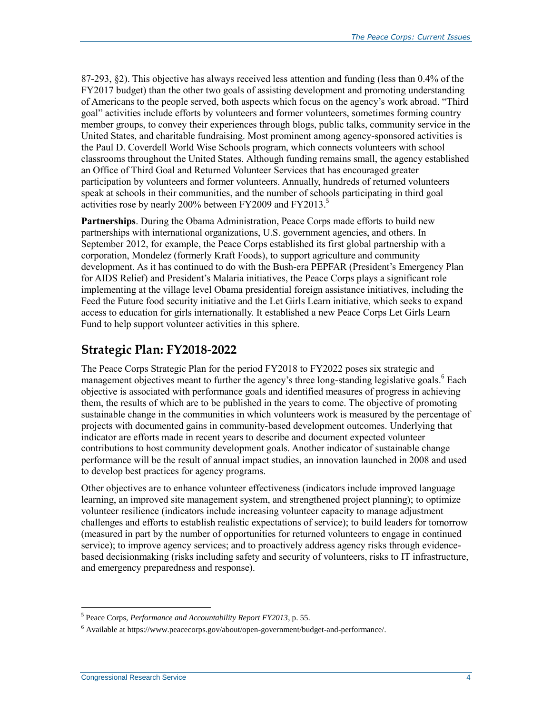87-293, §2). This objective has always received less attention and funding (less than 0.4% of the FY2017 budget) than the other two goals of assisting development and promoting understanding of Americans to the people served, both aspects which focus on the agency's work abroad. "Third goal" activities include efforts by volunteers and former volunteers, sometimes forming country member groups, to convey their experiences through blogs, public talks, community service in the United States, and charitable fundraising. Most prominent among agency-sponsored activities is the Paul D. Coverdell World Wise Schools program, which connects volunteers with school classrooms throughout the United States. Although funding remains small, the agency established an Office of Third Goal and Returned Volunteer Services that has encouraged greater participation by volunteers and former volunteers. Annually, hundreds of returned volunteers speak at schools in their communities, and the number of schools participating in third goal activities rose by nearly 200% between FY2009 and FY2013.<sup>5</sup>

**Partnerships**. During the Obama Administration, Peace Corps made efforts to build new partnerships with international organizations, U.S. government agencies, and others. In September 2012, for example, the Peace Corps established its first global partnership with a corporation, Mondelez (formerly Kraft Foods), to support agriculture and community development. As it has continued to do with the Bush-era PEPFAR (President's Emergency Plan for AIDS Relief) and President's Malaria initiatives, the Peace Corps plays a significant role implementing at the village level Obama presidential foreign assistance initiatives, including the Feed the Future food security initiative and the Let Girls Learn initiative, which seeks to expand access to education for girls internationally. It established a new Peace Corps Let Girls Learn Fund to help support volunteer activities in this sphere.

### **Strategic Plan: FY2018-2022**

The Peace Corps Strategic Plan for the period FY2018 to FY2022 poses six strategic and management objectives meant to further the agency's three long-standing legislative goals.<sup>6</sup> Each objective is associated with performance goals and identified measures of progress in achieving them, the results of which are to be published in the years to come. The objective of promoting sustainable change in the communities in which volunteers work is measured by the percentage of projects with documented gains in community-based development outcomes. Underlying that indicator are efforts made in recent years to describe and document expected volunteer contributions to host community development goals. Another indicator of sustainable change performance will be the result of annual impact studies, an innovation launched in 2008 and used to develop best practices for agency programs.

Other objectives are to enhance volunteer effectiveness (indicators include improved language learning, an improved site management system, and strengthened project planning); to optimize volunteer resilience (indicators include increasing volunteer capacity to manage adjustment challenges and efforts to establish realistic expectations of service); to build leaders for tomorrow (measured in part by the number of opportunities for returned volunteers to engage in continued service); to improve agency services; and to proactively address agency risks through evidencebased decisionmaking (risks including safety and security of volunteers, risks to IT infrastructure, and emergency preparedness and response).

<sup>5</sup> Peace Corps, *Performance and Accountability Report FY2013*, p. 55.

<sup>6</sup> Available at https://www.peacecorps.gov/about/open-government/budget-and-performance/.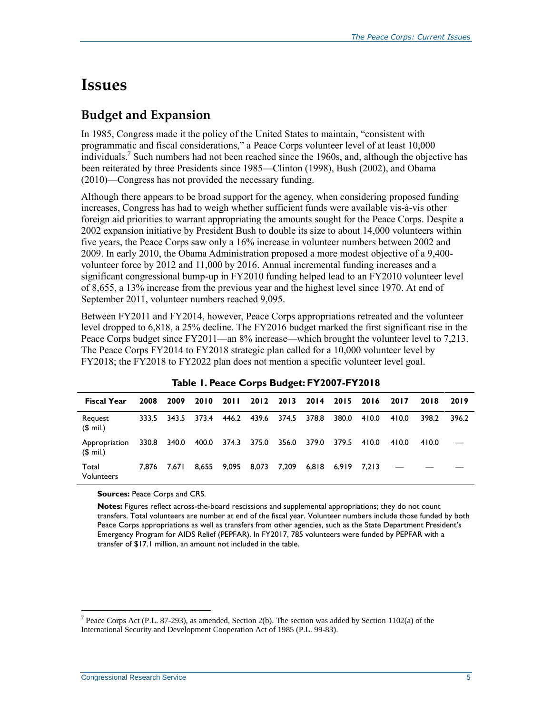## **Issues**

### **Budget and Expansion**

In 1985, Congress made it the policy of the United States to maintain, "consistent with programmatic and fiscal considerations," a Peace Corps volunteer level of at least 10,000 individuals.<sup>7</sup> Such numbers had not been reached since the 1960s, and, although the objective has been reiterated by three Presidents since 1985—Clinton (1998), Bush (2002), and Obama (2010)—Congress has not provided the necessary funding.

Although there appears to be broad support for the agency, when considering proposed funding increases, Congress has had to weigh whether sufficient funds were available vis-à-vis other foreign aid priorities to warrant appropriating the amounts sought for the Peace Corps. Despite a 2002 expansion initiative by President Bush to double its size to about 14,000 volunteers within five years, the Peace Corps saw only a 16% increase in volunteer numbers between 2002 and 2009. In early 2010, the Obama Administration proposed a more modest objective of a 9,400 volunteer force by 2012 and 11,000 by 2016. Annual incremental funding increases and a significant congressional bump-up in FY2010 funding helped lead to an FY2010 volunteer level of 8,655, a 13% increase from the previous year and the highest level since 1970. At end of September 2011, volunteer numbers reached 9,095.

Between FY2011 and FY2014, however, Peace Corps appropriations retreated and the volunteer level dropped to 6,818, a 25% decline. The FY2016 budget marked the first significant rise in the Peace Corps budget since FY2011—an 8% increase—which brought the volunteer level to 7,213. The Peace Corps FY2014 to FY2018 strategic plan called for a 10,000 volunteer level by FY2018; the FY2018 to FY2022 plan does not mention a specific volunteer level goal.

| <b>Fiscal Year</b>         | 2008  | 2009  | 2010  | <b>2011</b> |                   | 2012 2013 |       | 2014 2015 | 2016  | 2017  | 2018  | 2019  |
|----------------------------|-------|-------|-------|-------------|-------------------|-----------|-------|-----------|-------|-------|-------|-------|
| Request<br>$$$ mil.)       | 333.5 | 343.5 | 373.4 |             | 446.2 439.6 374.5 |           | 378.8 | 380.0     | 410.0 | 410.0 | 398.2 | 396.2 |
| Appropriation<br>$$$ mil.) | 330.8 | 340.0 | 400.0 | 374.3       | 375.0 356.0       |           | 379.0 | 379.5     | 410.0 | 410.0 | 410.0 |       |
| Total<br>Volunteers        | 7.876 | 7.671 | 8.655 | 9,095       | 8,073             | 7,209     | 6.818 | 6.919     | 7.213 |       |       |       |

**Sources:** Peace Corps and CRS.

**Notes:** Figures reflect across-the-board rescissions and supplemental appropriations; they do not count transfers. Total volunteers are number at end of the fiscal year. Volunteer numbers include those funded by both Peace Corps appropriations as well as transfers from other agencies, such as the State Department President's Emergency Program for AIDS Relief (PEPFAR). In FY2017, 785 volunteers were funded by PEPFAR with a transfer of \$17.1 million, an amount not included in the table.

<sup>&</sup>lt;sup>7</sup> Peace Corps Act (P.L. 87-293), as amended, Section 2(b). The section was added by Section 1102(a) of the International Security and Development Cooperation Act of 1985 (P.L. 99-83).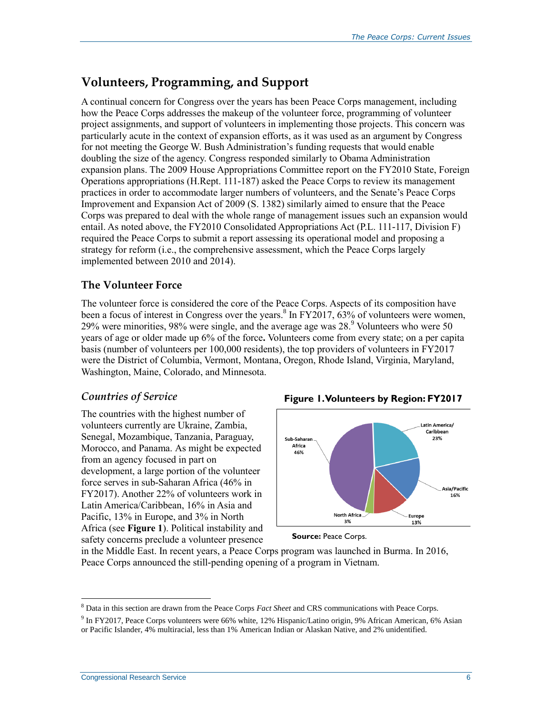### **Volunteers, Programming, and Support**

A continual concern for Congress over the years has been Peace Corps management, including how the Peace Corps addresses the makeup of the volunteer force, programming of volunteer project assignments, and support of volunteers in implementing those projects. This concern was particularly acute in the context of expansion efforts, as it was used as an argument by Congress for not meeting the George W. Bush Administration's funding requests that would enable doubling the size of the agency. Congress responded similarly to Obama Administration expansion plans. The 2009 House Appropriations Committee report on the FY2010 State, Foreign Operations appropriations (H.Rept. 111-187) asked the Peace Corps to review its management practices in order to accommodate larger numbers of volunteers, and the Senate's Peace Corps Improvement and Expansion Act of 2009 (S. 1382) similarly aimed to ensure that the Peace Corps was prepared to deal with the whole range of management issues such an expansion would entail. As noted above, the FY2010 Consolidated Appropriations Act (P.L. 111-117, Division F) required the Peace Corps to submit a report assessing its operational model and proposing a strategy for reform (i.e., the comprehensive assessment, which the Peace Corps largely implemented between 2010 and 2014).

#### **The Volunteer Force**

The volunteer force is considered the core of the Peace Corps. Aspects of its composition have been a focus of interest in Congress over the years.<sup>8</sup> In FY2017, 63% of volunteers were women, 29% were minorities, 98% were single, and the average age was  $28.9$  Volunteers who were 50 years of age or older made up 6% of the force**.** Volunteers come from every state; on a per capita basis (number of volunteers per 100,000 residents), the top providers of volunteers in FY2017 were the District of Columbia, Vermont, Montana, Oregon, Rhode Island, Virginia, Maryland, Washington, Maine, Colorado, and Minnesota.

#### *Countries of Service*

The countries with the highest number of volunteers currently are Ukraine, Zambia, Senegal, Mozambique, Tanzania, Paraguay, Morocco, and Panama. As might be expected from an agency focused in part on development, a large portion of the volunteer force serves in sub-Saharan Africa (46% in FY2017). Another 22% of volunteers work in Latin America/Caribbean, 16% in Asia and Pacific, 13% in Europe, and 3% in North Africa (see **[Figure 1](#page-8-0)**). Political instability and safety concerns preclude a volunteer presence

<span id="page-8-0"></span>





in the Middle East. In recent years, a Peace Corps program was launched in Burma. In 2016, Peace Corps announced the still-pending opening of a program in Vietnam.

<sup>8</sup> Data in this section are drawn from the Peace Corps *Fact Sheet* and CRS communications with Peace Corps.

<sup>&</sup>lt;sup>9</sup> In FY2017, Peace Corps volunteers were 66% white, 12% Hispanic/Latino origin, 9% African American, 6% Asian or Pacific Islander, 4% multiracial, less than 1% American Indian or Alaskan Native, and 2% unidentified.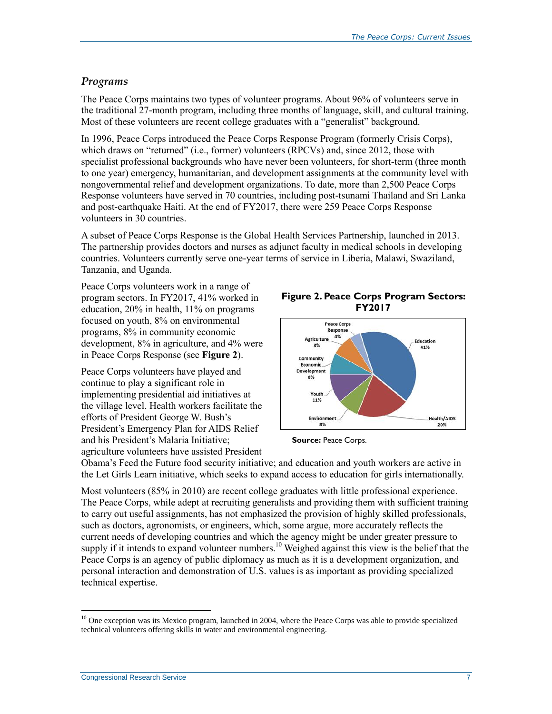#### *Programs*

The Peace Corps maintains two types of volunteer programs. About 96% of volunteers serve in the traditional 27-month program, including three months of language, skill, and cultural training. Most of these volunteers are recent college graduates with a "generalist" background.

In 1996, Peace Corps introduced the Peace Corps Response Program (formerly Crisis Corps), which draws on "returned" (i.e., former) volunteers (RPCVs) and, since 2012, those with specialist professional backgrounds who have never been volunteers, for short-term (three month to one year) emergency, humanitarian, and development assignments at the community level with nongovernmental relief and development organizations. To date, more than 2,500 Peace Corps Response volunteers have served in 70 countries, including post-tsunami Thailand and Sri Lanka and post-earthquake Haiti. At the end of FY2017, there were 259 Peace Corps Response volunteers in 30 countries.

A subset of Peace Corps Response is the Global Health Services Partnership, launched in 2013. The partnership provides doctors and nurses as adjunct faculty in medical schools in developing countries. Volunteers currently serve one-year terms of service in Liberia, Malawi, Swaziland, Tanzania, and Uganda.

Peace Corps volunteers work in a range of program sectors. In FY2017, 41% worked in education, 20% in health, 11% on programs focused on youth, 8% on environmental programs, 8% in community economic development, 8% in agriculture, and 4% were in Peace Corps Response (see **[Figure 2](#page-9-0)**).

Peace Corps volunteers have played and continue to play a significant role in implementing presidential aid initiatives at the village level. Health workers facilitate the efforts of President George W. Bush's President's Emergency Plan for AIDS Relief and his President's Malaria Initiative; agriculture volunteers have assisted President

<span id="page-9-0"></span>**Figure 2. Peace Corps Program Sectors: FY2017**





Obama's Feed the Future food security initiative; and education and youth workers are active in the Let Girls Learn initiative, which seeks to expand access to education for girls internationally.

Most volunteers (85% in 2010) are recent college graduates with little professional experience. The Peace Corps, while adept at recruiting generalists and providing them with sufficient training to carry out useful assignments, has not emphasized the provision of highly skilled professionals, such as doctors, agronomists, or engineers, which, some argue, more accurately reflects the current needs of developing countries and which the agency might be under greater pressure to supply if it intends to expand volunteer numbers.<sup>10</sup> Weighed against this view is the belief that the Peace Corps is an agency of public diplomacy as much as it is a development organization, and personal interaction and demonstration of U.S. values is as important as providing specialized technical expertise.

 $10$  One exception was its Mexico program, launched in 2004, where the Peace Corps was able to provide specialized technical volunteers offering skills in water and environmental engineering.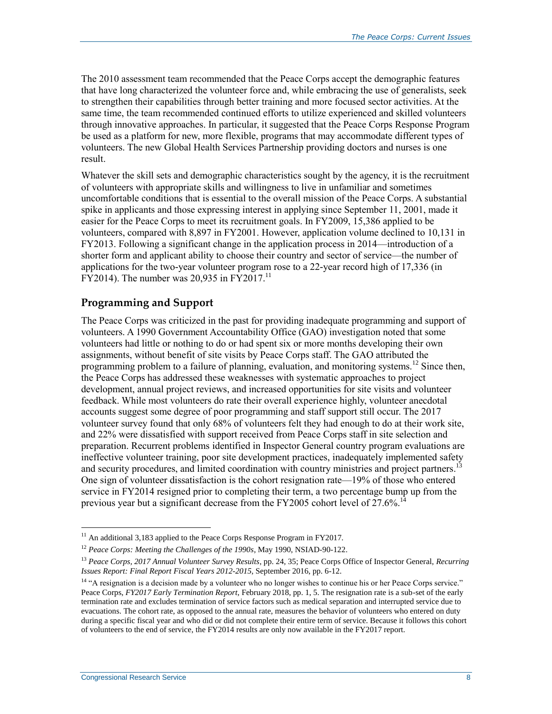The 2010 assessment team recommended that the Peace Corps accept the demographic features that have long characterized the volunteer force and, while embracing the use of generalists, seek to strengthen their capabilities through better training and more focused sector activities. At the same time, the team recommended continued efforts to utilize experienced and skilled volunteers through innovative approaches. In particular, it suggested that the Peace Corps Response Program be used as a platform for new, more flexible, programs that may accommodate different types of volunteers. The new Global Health Services Partnership providing doctors and nurses is one result.

Whatever the skill sets and demographic characteristics sought by the agency, it is the recruitment of volunteers with appropriate skills and willingness to live in unfamiliar and sometimes uncomfortable conditions that is essential to the overall mission of the Peace Corps. A substantial spike in applicants and those expressing interest in applying since September 11, 2001, made it easier for the Peace Corps to meet its recruitment goals. In FY2009, 15,386 applied to be volunteers, compared with 8,897 in FY2001. However, application volume declined to 10,131 in FY2013. Following a significant change in the application process in 2014—introduction of a shorter form and applicant ability to choose their country and sector of service—the number of applications for the two-year volunteer program rose to a 22-year record high of 17,336 (in  $\text{FY2014}$ ). The number was 20,935 in  $\text{FY2017}.^{11}$ 

#### **Programming and Support**

The Peace Corps was criticized in the past for providing inadequate programming and support of volunteers. A 1990 Government Accountability Office (GAO) investigation noted that some volunteers had little or nothing to do or had spent six or more months developing their own assignments, without benefit of site visits by Peace Corps staff. The GAO attributed the programming problem to a failure of planning, evaluation, and monitoring systems.<sup>12</sup> Since then, the Peace Corps has addressed these weaknesses with systematic approaches to project development, annual project reviews, and increased opportunities for site visits and volunteer feedback. While most volunteers do rate their overall experience highly, volunteer anecdotal accounts suggest some degree of poor programming and staff support still occur. The 2017 volunteer survey found that only 68% of volunteers felt they had enough to do at their work site, and 22% were dissatisfied with support received from Peace Corps staff in site selection and preparation. Recurrent problems identified in Inspector General country program evaluations are ineffective volunteer training, poor site development practices, inadequately implemented safety and security procedures, and limited coordination with country ministries and project partners.<sup>13</sup> One sign of volunteer dissatisfaction is the cohort resignation rate—19% of those who entered service in FY2014 resigned prior to completing their term, a two percentage bump up from the previous year but a significant decrease from the FY2005 cohort level of  $27.6\%$ <sup>14</sup>

 $11$  An additional 3,183 applied to the Peace Corps Response Program in FY2017.

<sup>12</sup> *Peace Corps: Meeting the Challenges of the 1990s*, May 1990, NSIAD-90-122.

<sup>13</sup> *Peace Corps, 2017 Annual Volunteer Survey Results*, pp. 24, 35; Peace Corps Office of Inspector General, *Recurring Issues Report: Final Report Fiscal Years 2012-2015*, September 2016, pp. 6-12.

<sup>&</sup>lt;sup>14</sup> "A resignation is a decision made by a volunteer who no longer wishes to continue his or her Peace Corps service." Peace Corps, *FY2017 Early Termination Report*, February 2018, pp. 1, 5. The resignation rate is a sub-set of the early termination rate and excludes termination of service factors such as medical separation and interrupted service due to evacuations. The cohort rate, as opposed to the annual rate, measures the behavior of volunteers who entered on duty during a specific fiscal year and who did or did not complete their entire term of service. Because it follows this cohort of volunteers to the end of service, the FY2014 results are only now available in the FY2017 report.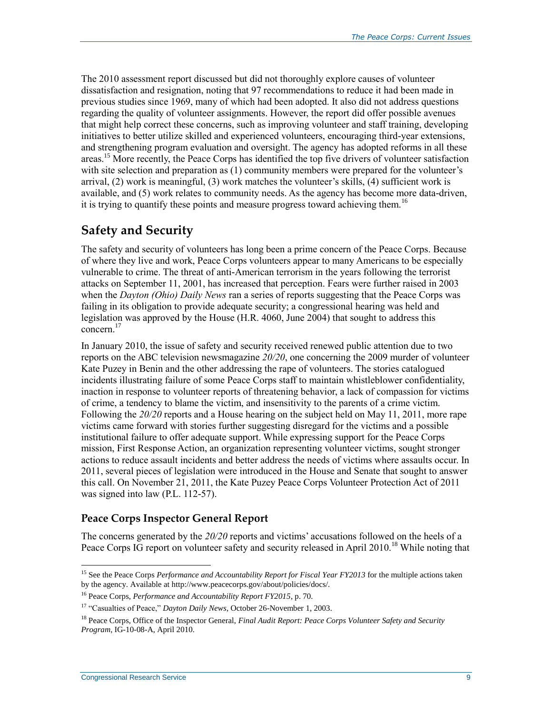The 2010 assessment report discussed but did not thoroughly explore causes of volunteer dissatisfaction and resignation, noting that 97 recommendations to reduce it had been made in previous studies since 1969, many of which had been adopted. It also did not address questions regarding the quality of volunteer assignments. However, the report did offer possible avenues that might help correct these concerns, such as improving volunteer and staff training, developing initiatives to better utilize skilled and experienced volunteers, encouraging third-year extensions, and strengthening program evaluation and oversight. The agency has adopted reforms in all these areas.<sup>15</sup> More recently, the Peace Corps has identified the top five drivers of volunteer satisfaction with site selection and preparation as (1) community members were prepared for the volunteer's arrival, (2) work is meaningful, (3) work matches the volunteer's skills, (4) sufficient work is available, and (5) work relates to community needs. As the agency has become more data-driven, it is trying to quantify these points and measure progress toward achieving them.<sup>16</sup>

### **Safety and Security**

The safety and security of volunteers has long been a prime concern of the Peace Corps. Because of where they live and work, Peace Corps volunteers appear to many Americans to be especially vulnerable to crime. The threat of anti-American terrorism in the years following the terrorist attacks on September 11, 2001, has increased that perception. Fears were further raised in 2003 when the *Dayton (Ohio) Daily News* ran a series of reports suggesting that the Peace Corps was failing in its obligation to provide adequate security; a congressional hearing was held and legislation was approved by the House (H.R. 4060, June 2004) that sought to address this concern.<sup>17</sup>

In January 2010, the issue of safety and security received renewed public attention due to two reports on the ABC television newsmagazine *20/20*, one concerning the 2009 murder of volunteer Kate Puzey in Benin and the other addressing the rape of volunteers. The stories catalogued incidents illustrating failure of some Peace Corps staff to maintain whistleblower confidentiality, inaction in response to volunteer reports of threatening behavior, a lack of compassion for victims of crime, a tendency to blame the victim, and insensitivity to the parents of a crime victim. Following the *20/20* reports and a House hearing on the subject held on May 11, 2011, more rape victims came forward with stories further suggesting disregard for the victims and a possible institutional failure to offer adequate support. While expressing support for the Peace Corps mission, First Response Action, an organization representing volunteer victims, sought stronger actions to reduce assault incidents and better address the needs of victims where assaults occur. In 2011, several pieces of legislation were introduced in the House and Senate that sought to answer this call. On November 21, 2011, the Kate Puzey Peace Corps Volunteer Protection Act of 2011 was signed into law (P.L. 112-57).

#### **Peace Corps Inspector General Report**

The concerns generated by the *20/20* reports and victims' accusations followed on the heels of a Peace Corps IG report on volunteer safety and security released in April 2010.<sup>18</sup> While noting that

<sup>&</sup>lt;sup>15</sup> See the Peace Corps *Performance and Accountability Report for Fiscal Year FY2013* for the multiple actions taken by the agency. Available at http://www.peacecorps.gov/about/policies/docs/.

<sup>16</sup> Peace Corps, *Performance and Accountability Report FY2015*, p. 70.

<sup>&</sup>lt;sup>17</sup> "Casualties of Peace," *Dayton Daily News*, October 26-November 1, 2003.

<sup>18</sup> Peace Corps, Office of the Inspector General, *Final Audit Report: Peace Corps Volunteer Safety and Security Program*, IG-10-08-A, April 2010.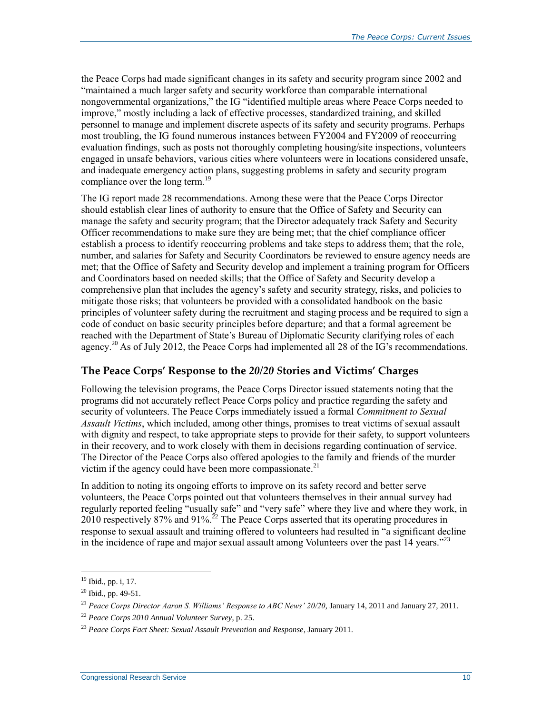the Peace Corps had made significant changes in its safety and security program since 2002 and "maintained a much larger safety and security workforce than comparable international nongovernmental organizations," the IG "identified multiple areas where Peace Corps needed to improve," mostly including a lack of effective processes, standardized training, and skilled personnel to manage and implement discrete aspects of its safety and security programs. Perhaps most troubling, the IG found numerous instances between FY2004 and FY2009 of reoccurring evaluation findings, such as posts not thoroughly completing housing/site inspections, volunteers engaged in unsafe behaviors, various cities where volunteers were in locations considered unsafe, and inadequate emergency action plans, suggesting problems in safety and security program compliance over the long term.<sup>19</sup>

The IG report made 28 recommendations. Among these were that the Peace Corps Director should establish clear lines of authority to ensure that the Office of Safety and Security can manage the safety and security program; that the Director adequately track Safety and Security Officer recommendations to make sure they are being met; that the chief compliance officer establish a process to identify reoccurring problems and take steps to address them; that the role, number, and salaries for Safety and Security Coordinators be reviewed to ensure agency needs are met; that the Office of Safety and Security develop and implement a training program for Officers and Coordinators based on needed skills; that the Office of Safety and Security develop a comprehensive plan that includes the agency's safety and security strategy, risks, and policies to mitigate those risks; that volunteers be provided with a consolidated handbook on the basic principles of volunteer safety during the recruitment and staging process and be required to sign a code of conduct on basic security principles before departure; and that a formal agreement be reached with the Department of State's Bureau of Diplomatic Security clarifying roles of each agency.<sup>20</sup> As of July 2012, the Peace Corps had implemented all 28 of the IG's recommendations.

#### **The Peace Corps' Response to the** *20/20 S***tories and Victims' Charges**

Following the television programs, the Peace Corps Director issued statements noting that the programs did not accurately reflect Peace Corps policy and practice regarding the safety and security of volunteers. The Peace Corps immediately issued a formal *Commitment to Sexual Assault Victims*, which included, among other things, promises to treat victims of sexual assault with dignity and respect, to take appropriate steps to provide for their safety, to support volunteers in their recovery, and to work closely with them in decisions regarding continuation of service. The Director of the Peace Corps also offered apologies to the family and friends of the murder victim if the agency could have been more compassionate. $^{21}$ 

In addition to noting its ongoing efforts to improve on its safety record and better serve volunteers, the Peace Corps pointed out that volunteers themselves in their annual survey had regularly reported feeling "usually safe" and "very safe" where they live and where they work, in 2010 respectively 87% and 91%.<sup>22</sup> The Peace Corps asserted that its operating procedures in response to sexual assault and training offered to volunteers had resulted in "a significant decline in the incidence of rape and major sexual assault among Volunteers over the past 14 years."<sup>23</sup>

 $19$  Ibid., pp. i, 17.

 $20$  Ibid., pp. 49-51.

<sup>21</sup> *Peace Corps Director Aaron S. Williams' Response to ABC News' 20/20*, January 14, 2011 and January 27, 2011.

<sup>22</sup> *Peace Corps 2010 Annual Volunteer Survey*, p. 25.

<sup>23</sup> *Peace Corps Fact Sheet: Sexual Assault Prevention and Response*, January 2011.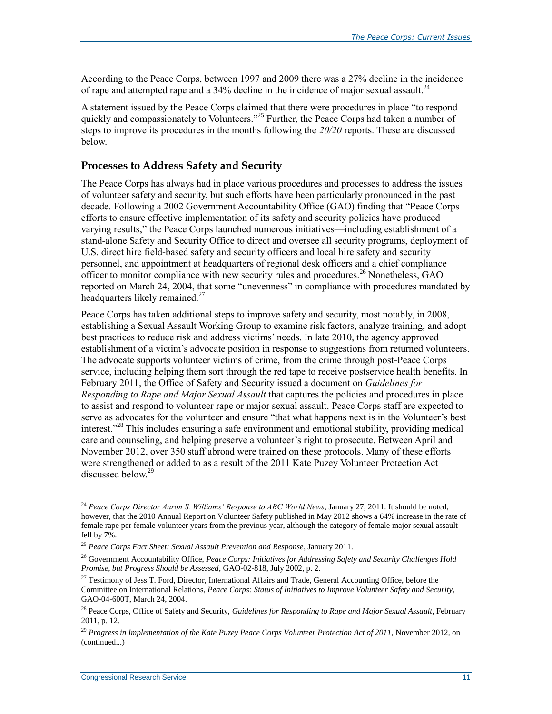According to the Peace Corps, between 1997 and 2009 there was a 27% decline in the incidence of rape and attempted rape and a 34% decline in the incidence of major sexual assault.<sup>24</sup>

A statement issued by the Peace Corps claimed that there were procedures in place "to respond quickly and compassionately to Volunteers."<sup>25</sup> Further, the Peace Corps had taken a number of steps to improve its procedures in the months following the *20/20* reports. These are discussed below.

#### **Processes to Address Safety and Security**

The Peace Corps has always had in place various procedures and processes to address the issues of volunteer safety and security, but such efforts have been particularly pronounced in the past decade. Following a 2002 Government Accountability Office (GAO) finding that "Peace Corps efforts to ensure effective implementation of its safety and security policies have produced varying results," the Peace Corps launched numerous initiatives—including establishment of a stand-alone Safety and Security Office to direct and oversee all security programs, deployment of U.S. direct hire field-based safety and security officers and local hire safety and security personnel, and appointment at headquarters of regional desk officers and a chief compliance officer to monitor compliance with new security rules and procedures.<sup>26</sup> Nonetheless, GAO reported on March 24, 2004, that some "unevenness" in compliance with procedures mandated by headquarters likely remained.<sup>27</sup>

Peace Corps has taken additional steps to improve safety and security, most notably, in 2008, establishing a Sexual Assault Working Group to examine risk factors, analyze training, and adopt best practices to reduce risk and address victims' needs. In late 2010, the agency approved establishment of a victim's advocate position in response to suggestions from returned volunteers. The advocate supports volunteer victims of crime, from the crime through post-Peace Corps service, including helping them sort through the red tape to receive postservice health benefits. In February 2011, the Office of Safety and Security issued a document on *Guidelines for Responding to Rape and Major Sexual Assault* that captures the policies and procedures in place to assist and respond to volunteer rape or major sexual assault. Peace Corps staff are expected to serve as advocates for the volunteer and ensure "that what happens next is in the Volunteer's best interest."<sup>28</sup> This includes ensuring a safe environment and emotional stability, providing medical care and counseling, and helping preserve a volunteer's right to prosecute. Between April and November 2012, over 350 staff abroad were trained on these protocols. Many of these efforts were strengthened or added to as a result of the 2011 Kate Puzey Volunteer Protection Act discussed below.<sup>29</sup>

<sup>24</sup> *Peace Corps Director Aaron S. Williams' Response to ABC World News*, January 27, 2011. It should be noted, however, that the 2010 Annual Report on Volunteer Safety published in May 2012 shows a 64% increase in the rate of female rape per female volunteer years from the previous year, although the category of female major sexual assault fell by 7%.

<sup>25</sup> *Peace Corps Fact Sheet: Sexual Assault Prevention and Response*, January 2011.

<sup>26</sup> Government Accountability Office, *Peace Corps: Initiatives for Addressing Safety and Security Challenges Hold Promise, but Progress Should be Assessed*, GAO-02-818, July 2002, p. 2.

<sup>&</sup>lt;sup>27</sup> Testimony of Jess T. Ford, Director, International Affairs and Trade, General Accounting Office, before the Committee on International Relations, *Peace Corps: Status of Initiatives to Improve Volunteer Safety and Security*, GAO-04-600T, March 24, 2004.

<sup>&</sup>lt;sup>28</sup> Peace Corps, Office of Safety and Security, *Guidelines for Responding to Rape and Major Sexual Assault*, February 2011, p. 12.

<sup>29</sup> *Progress in Implementation of the Kate Puzey Peace Corps Volunteer Protection Act of 2011*, November 2012, on (continued...)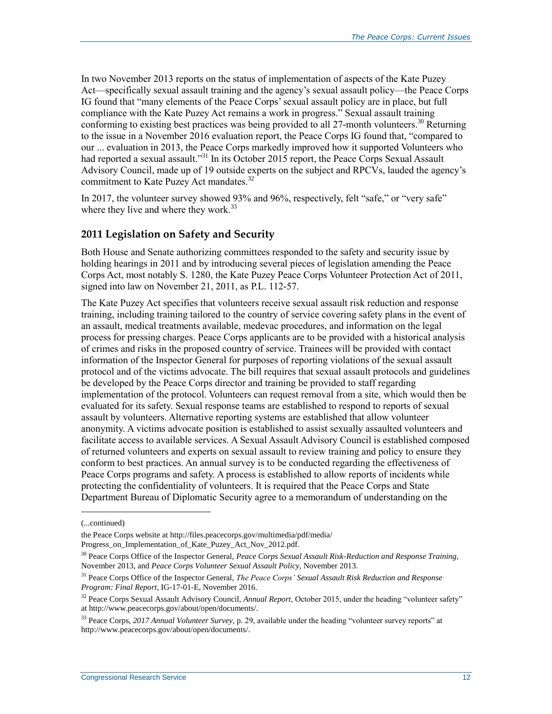In two November 2013 reports on the status of implementation of aspects of the Kate Puzey Act—specifically sexual assault training and the agency's sexual assault policy—the Peace Corps IG found that "many elements of the Peace Corps' sexual assault policy are in place, but full compliance with the Kate Puzey Act remains a work in progress." Sexual assault training conforming to existing best practices was being provided to all 27-month volunteers.<sup>30</sup> Returning to the issue in a November 2016 evaluation report, the Peace Corps IG found that, "compared to our ... evaluation in 2013, the Peace Corps markedly improved how it supported Volunteers who had reported a sexual assault."<sup>31</sup> In its October 2015 report, the Peace Corps Sexual Assault Advisory Council, made up of 19 outside experts on the subject and RPCVs, lauded the agency's commitment to Kate Puzey Act mandates.<sup>32</sup>

In 2017, the volunteer survey showed 93% and 96%, respectively, felt "safe," or "very safe" where they live and where they work.<sup>33</sup>

#### **2011 Legislation on Safety and Security**

Both House and Senate authorizing committees responded to the safety and security issue by holding hearings in 2011 and by introducing several pieces of legislation amending the Peace Corps Act, most notably S. 1280, the Kate Puzey Peace Corps Volunteer Protection Act of 2011, signed into law on November 21, 2011, as P.L. 112-57.

The Kate Puzey Act specifies that volunteers receive sexual assault risk reduction and response training, including training tailored to the country of service covering safety plans in the event of an assault, medical treatments available, medevac procedures, and information on the legal process for pressing charges. Peace Corps applicants are to be provided with a historical analysis of crimes and risks in the proposed country of service. Trainees will be provided with contact information of the Inspector General for purposes of reporting violations of the sexual assault protocol and of the victims advocate. The bill requires that sexual assault protocols and guidelines be developed by the Peace Corps director and training be provided to staff regarding implementation of the protocol. Volunteers can request removal from a site, which would then be evaluated for its safety. Sexual response teams are established to respond to reports of sexual assault by volunteers. Alternative reporting systems are established that allow volunteer anonymity. A victims advocate position is established to assist sexually assaulted volunteers and facilitate access to available services. A Sexual Assault Advisory Council is established composed of returned volunteers and experts on sexual assault to review training and policy to ensure they conform to best practices. An annual survey is to be conducted regarding the effectiveness of Peace Corps programs and safety. A process is established to allow reports of incidents while protecting the confidentiality of volunteers. It is required that the Peace Corps and State Department Bureau of Diplomatic Security agree to a memorandum of understanding on the

l

<sup>(...</sup>continued)

the Peace Corps website at http://files.peacecorps.gov/multimedia/pdf/media/ Progress\_on\_Implementation\_of\_Kate\_Puzey\_Act\_Nov\_2012.pdf.

<sup>30</sup> Peace Corps Office of the Inspector General, *Peace Corps Sexual Assault Risk-Reduction and Response Training*, November 2013, and *Peace Corps Volunteer Sexual Assault Policy*, November 2013.

<sup>31</sup> Peace Corps Office of the Inspector General, *The Peace Corps' Sexual Assault Risk Reduction and Response Program: Final Report*, IG-17-01-E, November 2016.

<sup>32</sup> Peace Corps Sexual Assault Advisory Council, *Annual Report*, October 2015, under the heading "volunteer safety" at http://www.peacecorps.gov/about/open/documents/.

<sup>33</sup> Peace Corps, *2017 Annual Volunteer Survey,* p. 29, available under the heading "volunteer survey reports" at http://www.peacecorps.gov/about/open/documents/.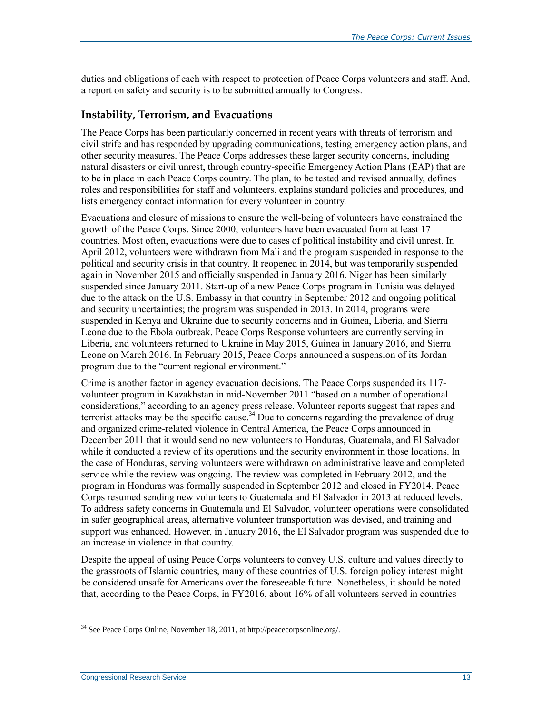duties and obligations of each with respect to protection of Peace Corps volunteers and staff. And, a report on safety and security is to be submitted annually to Congress.

#### **Instability, Terrorism, and Evacuations**

The Peace Corps has been particularly concerned in recent years with threats of terrorism and civil strife and has responded by upgrading communications, testing emergency action plans, and other security measures. The Peace Corps addresses these larger security concerns, including natural disasters or civil unrest, through country-specific Emergency Action Plans (EAP) that are to be in place in each Peace Corps country. The plan, to be tested and revised annually, defines roles and responsibilities for staff and volunteers, explains standard policies and procedures, and lists emergency contact information for every volunteer in country.

Evacuations and closure of missions to ensure the well-being of volunteers have constrained the growth of the Peace Corps. Since 2000, volunteers have been evacuated from at least 17 countries. Most often, evacuations were due to cases of political instability and civil unrest. In April 2012, volunteers were withdrawn from Mali and the program suspended in response to the political and security crisis in that country. It reopened in 2014, but was temporarily suspended again in November 2015 and officially suspended in January 2016. Niger has been similarly suspended since January 2011. Start-up of a new Peace Corps program in Tunisia was delayed due to the attack on the U.S. Embassy in that country in September 2012 and ongoing political and security uncertainties; the program was suspended in 2013. In 2014, programs were suspended in Kenya and Ukraine due to security concerns and in Guinea, Liberia, and Sierra Leone due to the Ebola outbreak. Peace Corps Response volunteers are currently serving in Liberia, and volunteers returned to Ukraine in May 2015, Guinea in January 2016, and Sierra Leone on March 2016. In February 2015, Peace Corps announced a suspension of its Jordan program due to the "current regional environment."

Crime is another factor in agency evacuation decisions. The Peace Corps suspended its 117 volunteer program in Kazakhstan in mid-November 2011 "based on a number of operational considerations," according to an agency press release. Volunteer reports suggest that rapes and terrorist attacks may be the specific cause.<sup>34</sup> Due to concerns regarding the prevalence of drug and organized crime-related violence in Central America, the Peace Corps announced in December 2011 that it would send no new volunteers to Honduras, Guatemala, and El Salvador while it conducted a review of its operations and the security environment in those locations. In the case of Honduras, serving volunteers were withdrawn on administrative leave and completed service while the review was ongoing. The review was completed in February 2012, and the program in Honduras was formally suspended in September 2012 and closed in FY2014. Peace Corps resumed sending new volunteers to Guatemala and El Salvador in 2013 at reduced levels. To address safety concerns in Guatemala and El Salvador, volunteer operations were consolidated in safer geographical areas, alternative volunteer transportation was devised, and training and support was enhanced. However, in January 2016, the El Salvador program was suspended due to an increase in violence in that country.

Despite the appeal of using Peace Corps volunteers to convey U.S. culture and values directly to the grassroots of Islamic countries, many of these countries of U.S. foreign policy interest might be considered unsafe for Americans over the foreseeable future. Nonetheless, it should be noted that, according to the Peace Corps, in FY2016, about 16% of all volunteers served in countries

 $34$  See Peace Corps Online, November 18, 2011, at http://peacecorpsonline.org/.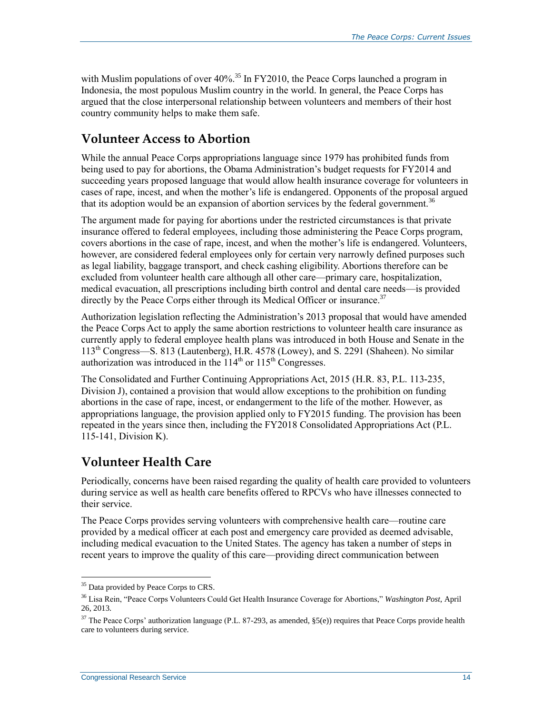with Muslim populations of over  $40\%$ .<sup>35</sup> In FY2010, the Peace Corps launched a program in Indonesia, the most populous Muslim country in the world. In general, the Peace Corps has argued that the close interpersonal relationship between volunteers and members of their host country community helps to make them safe.

#### **Volunteer Access to Abortion**

While the annual Peace Corps appropriations language since 1979 has prohibited funds from being used to pay for abortions, the Obama Administration's budget requests for FY2014 and succeeding years proposed language that would allow health insurance coverage for volunteers in cases of rape, incest, and when the mother's life is endangered. Opponents of the proposal argued that its adoption would be an expansion of abortion services by the federal government.<sup>36</sup>

The argument made for paying for abortions under the restricted circumstances is that private insurance offered to federal employees, including those administering the Peace Corps program, covers abortions in the case of rape, incest, and when the mother's life is endangered. Volunteers, however, are considered federal employees only for certain very narrowly defined purposes such as legal liability, baggage transport, and check cashing eligibility. Abortions therefore can be excluded from volunteer health care although all other care—primary care, hospitalization, medical evacuation, all prescriptions including birth control and dental care needs—is provided directly by the Peace Corps either through its Medical Officer or insurance.<sup>37</sup>

Authorization legislation reflecting the Administration's 2013 proposal that would have amended the Peace Corps Act to apply the same abortion restrictions to volunteer health care insurance as currently apply to federal employee health plans was introduced in both House and Senate in the 113th Congress—S. 813 (Lautenberg), H.R. 4578 (Lowey), and S. 2291 (Shaheen). No similar authorization was introduced in the  $114<sup>th</sup>$  or  $115<sup>th</sup>$  Congresses.

The Consolidated and Further Continuing Appropriations Act, 2015 (H.R. 83, P.L. 113-235, Division J), contained a provision that would allow exceptions to the prohibition on funding abortions in the case of rape, incest, or endangerment to the life of the mother. However, as appropriations language, the provision applied only to FY2015 funding. The provision has been repeated in the years since then, including the FY2018 Consolidated Appropriations Act (P.L. 115-141, Division K).

### **Volunteer Health Care**

Periodically, concerns have been raised regarding the quality of health care provided to volunteers during service as well as health care benefits offered to RPCVs who have illnesses connected to their service.

The Peace Corps provides serving volunteers with comprehensive health care—routine care provided by a medical officer at each post and emergency care provided as deemed advisable, including medical evacuation to the United States. The agency has taken a number of steps in recent years to improve the quality of this care—providing direct communication between

<sup>&</sup>lt;sup>35</sup> Data provided by Peace Corps to CRS.

<sup>36</sup> Lisa Rein, "Peace Corps Volunteers Could Get Health Insurance Coverage for Abortions," *Washington Post*, April 26, 2013.

<sup>&</sup>lt;sup>37</sup> The Peace Corps' authorization language (P.L. 87-293, as amended, §5(e)) requires that Peace Corps provide health care to volunteers during service.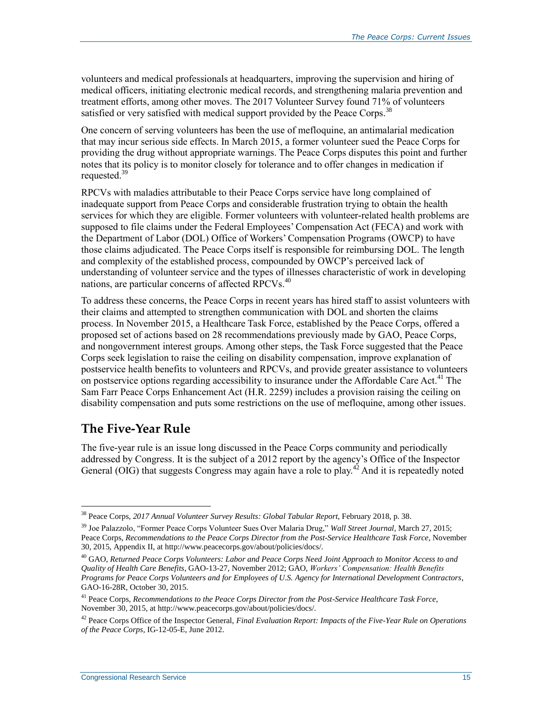volunteers and medical professionals at headquarters, improving the supervision and hiring of medical officers, initiating electronic medical records, and strengthening malaria prevention and treatment efforts, among other moves. The 2017 Volunteer Survey found 71% of volunteers satisfied or very satisfied with medical support provided by the Peace Corps.<sup>38</sup>

One concern of serving volunteers has been the use of mefloquine, an antimalarial medication that may incur serious side effects. In March 2015, a former volunteer sued the Peace Corps for providing the drug without appropriate warnings. The Peace Corps disputes this point and further notes that its policy is to monitor closely for tolerance and to offer changes in medication if requested.<sup>39</sup>

RPCVs with maladies attributable to their Peace Corps service have long complained of inadequate support from Peace Corps and considerable frustration trying to obtain the health services for which they are eligible. Former volunteers with volunteer-related health problems are supposed to file claims under the Federal Employees' Compensation Act (FECA) and work with the Department of Labor (DOL) Office of Workers' Compensation Programs (OWCP) to have those claims adjudicated. The Peace Corps itself is responsible for reimbursing DOL. The length and complexity of the established process, compounded by OWCP's perceived lack of understanding of volunteer service and the types of illnesses characteristic of work in developing nations, are particular concerns of affected RPCVs.<sup>40</sup>

To address these concerns, the Peace Corps in recent years has hired staff to assist volunteers with their claims and attempted to strengthen communication with DOL and shorten the claims process. In November 2015, a Healthcare Task Force, established by the Peace Corps, offered a proposed set of actions based on 28 recommendations previously made by GAO, Peace Corps, and nongovernment interest groups. Among other steps, the Task Force suggested that the Peace Corps seek legislation to raise the ceiling on disability compensation, improve explanation of postservice health benefits to volunteers and RPCVs, and provide greater assistance to volunteers on postservice options regarding accessibility to insurance under the Affordable Care Act.<sup>41</sup> The Sam Farr Peace Corps Enhancement Act (H.R. 2259) includes a provision raising the ceiling on disability compensation and puts some restrictions on the use of mefloquine, among other issues.

#### **The Five-Year Rule**

 $\overline{a}$ 

The five-year rule is an issue long discussed in the Peace Corps community and periodically addressed by Congress. It is the subject of a 2012 report by the agency's Office of the Inspector General (OIG) that suggests Congress may again have a role to play.<sup>42</sup> And it is repeatedly noted

<sup>38</sup> Peace Corps, *2017 Annual Volunteer Survey Results: Global Tabular Report*, February 2018, p. 38.

<sup>39</sup> Joe Palazzolo, "Former Peace Corps Volunteer Sues Over Malaria Drug," *Wall Street Journal,* March 27, 2015; Peace Corps, *Recommendations to the Peace Corps Director from the Post-Service Healthcare Task Force*, November 30, 2015, Appendix II, at http://www.peacecorps.gov/about/policies/docs/.

<sup>40</sup> GAO, *Returned Peace Corps Volunteers: Labor and Peace Corps Need Joint Approach to Monitor Access to and Quality of Health Care Benefits*, GAO-13-27, November 2012; GAO, *Workers' Compensation: Health Benefits Programs for Peace Corps Volunteers and for Employees of U.S. Agency for International Development Contractors*, GAO-16-28R, October 30, 2015.

<sup>41</sup> Peace Corps, *Recommendations to the Peace Corps Director from the Post-Service Healthcare Task Force*, November 30, 2015, at http://www.peacecorps.gov/about/policies/docs/.

<sup>42</sup> Peace Corps Office of the Inspector General, *Final Evaluation Report: Impacts of the Five-Year Rule on Operations of the Peace Corps,* IG-12-05-E, June 2012.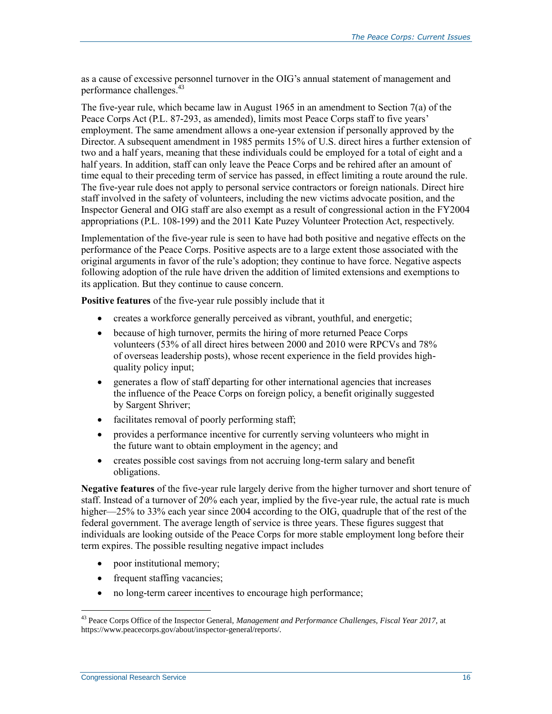as a cause of excessive personnel turnover in the OIG's annual statement of management and performance challenges.<sup>43</sup>

The five-year rule, which became law in August 1965 in an amendment to Section 7(a) of the Peace Corps Act (P.L. 87-293, as amended), limits most Peace Corps staff to five years' employment. The same amendment allows a one-year extension if personally approved by the Director. A subsequent amendment in 1985 permits 15% of U.S. direct hires a further extension of two and a half years, meaning that these individuals could be employed for a total of eight and a half years. In addition, staff can only leave the Peace Corps and be rehired after an amount of time equal to their preceding term of service has passed, in effect limiting a route around the rule. The five-year rule does not apply to personal service contractors or foreign nationals. Direct hire staff involved in the safety of volunteers, including the new victims advocate position, and the Inspector General and OIG staff are also exempt as a result of congressional action in the FY2004 appropriations (P.L. 108-199) and the 2011 Kate Puzey Volunteer Protection Act, respectively.

Implementation of the five-year rule is seen to have had both positive and negative effects on the performance of the Peace Corps. Positive aspects are to a large extent those associated with the original arguments in favor of the rule's adoption; they continue to have force. Negative aspects following adoption of the rule have driven the addition of limited extensions and exemptions to its application. But they continue to cause concern.

**Positive features** of the five-year rule possibly include that it

- creates a workforce generally perceived as vibrant, youthful, and energetic;
- because of high turnover, permits the hiring of more returned Peace Corps volunteers (53% of all direct hires between 2000 and 2010 were RPCVs and 78% of overseas leadership posts), whose recent experience in the field provides highquality policy input;
- generates a flow of staff departing for other international agencies that increases the influence of the Peace Corps on foreign policy, a benefit originally suggested by Sargent Shriver;
- facilitates removal of poorly performing staff;
- provides a performance incentive for currently serving volunteers who might in the future want to obtain employment in the agency; and
- creates possible cost savings from not accruing long-term salary and benefit obligations.

**Negative features** of the five-year rule largely derive from the higher turnover and short tenure of staff. Instead of a turnover of 20% each year, implied by the five-year rule, the actual rate is much higher—25% to 33% each year since 2004 according to the OIG, quadruple that of the rest of the federal government. The average length of service is three years. These figures suggest that individuals are looking outside of the Peace Corps for more stable employment long before their term expires. The possible resulting negative impact includes

- poor institutional memory;
- frequent staffing vacancies;
- no long-term career incentives to encourage high performance;

<sup>43</sup> Peace Corps Office of the Inspector General, *Management and Performance Challenges, Fiscal Year 2017,* at https://www.peacecorps.gov/about/inspector-general/reports/.